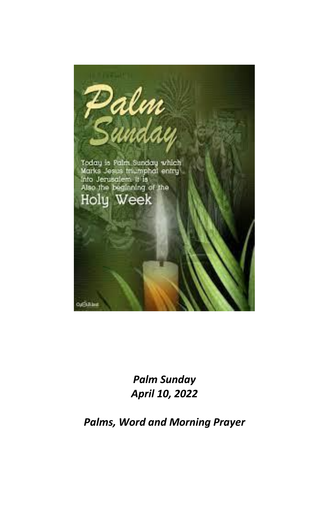

*Palm Sunday April 10, 2022*

*Palms, Word and Morning Prayer*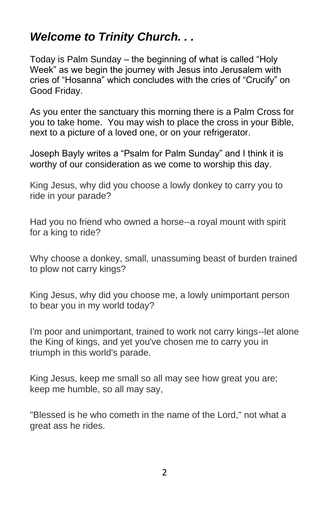# *Welcome to Trinity Church. . .*

Today is Palm Sunday – the beginning of what is called "Holy Week" as we begin the journey with Jesus into Jerusalem with cries of "Hosanna" which concludes with the cries of "Crucify" on Good Friday.

As you enter the sanctuary this morning there is a Palm Cross for you to take home. You may wish to place the cross in your Bible, next to a picture of a loved one, or on your refrigerator.

Joseph Bayly writes a "Psalm for Palm Sunday" and I think it is worthy of our consideration as we come to worship this day.

King Jesus, why did you choose a lowly donkey to carry you to ride in your parade?

Had you no friend who owned a horse--a royal mount with spirit for a king to ride?

Why choose a donkey, small, unassuming beast of burden trained to plow not carry kings?

King Jesus, why did you choose me, a lowly unimportant person to bear you in my world today?

I'm poor and unimportant, trained to work not carry kings--let alone the King of kings, and yet you've chosen me to carry you in triumph in this world's parade.

King Jesus, keep me small so all may see how great you are; keep me humble, so all may say,

"Blessed is he who cometh in the name of the Lord," not what a great ass he rides.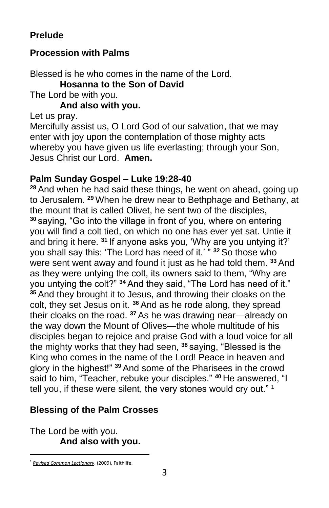# **Prelude**

## **Procession with Palms**

Blessed is he who comes in the name of the Lord. **Hosanna to the Son of David** The Lord be with you.

**And also with you.**

Let us pray.

Mercifully assist us, O Lord God of our salvation, that we may enter with joy upon the contemplation of those mighty acts whereby you have given us life everlasting; through your Son, Jesus Christ our Lord. **Amen.**

### **Palm Sunday Gospel – Luke 19:28-40**

**<sup>28</sup>** And when he had said these things, he went on ahead, going up to Jerusalem. **<sup>29</sup>** When he drew near to Bethphage and Bethany, at the mount that is called Olivet, he sent two of the disciples, **<sup>30</sup>** saying, "Go into the village in front of you, where on entering you will find a colt tied, on which no one has ever yet sat. Untie it and bring it here. **<sup>31</sup>** If anyone asks you, 'Why are you untying it?' you shall say this: 'The Lord has need of it.' " **<sup>32</sup>** So those who were sent went away and found it just as he had told them. **<sup>33</sup>** And as they were untying the colt, its owners said to them, "Why are you untying the colt?" **<sup>34</sup>** And they said, "The Lord has need of it." **<sup>35</sup>** And they brought it to Jesus, and throwing their cloaks on the colt, they set Jesus on it. **<sup>36</sup>** And as he rode along, they spread their cloaks on the road. **<sup>37</sup>** As he was drawing near—already on the way down the Mount of Olives—the whole multitude of his disciples began to rejoice and praise God with a loud voice for all the mighty works that they had seen, **<sup>38</sup>** saying, "Blessed is the King who comes in the name of the Lord! Peace in heaven and glory in the highest!" **<sup>39</sup>** And some of the Pharisees in the crowd said to him, "Teacher, rebuke your disciples." **<sup>40</sup>** He answered, "I tell you, if these were silent, the very stones would cry out." <sup>1</sup>

# **Blessing of the Palm Crosses**

The Lord be with you. **And also with you.**

<sup>1</sup> *[Revised Common Lectionary](https://ref.ly/logosres/rcl?ref=YearMonthDay.4-10-2022&off=286&ctx=OSPEL%0aLuke+19:28%E2%80%9340%0a~+%0aSUNDAY%2c+APRIL+10%2c+)*. (2009). Faithlife.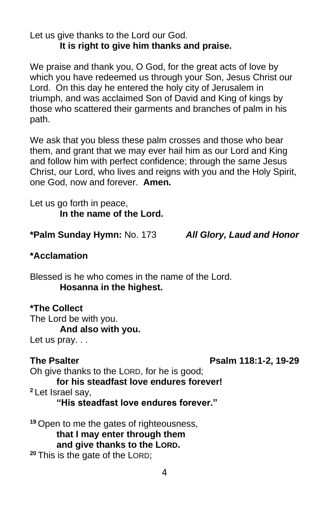Let us give thanks to the Lord our God. **It is right to give him thanks and praise.**

We praise and thank you, O God, for the great acts of love by which you have redeemed us through your Son, Jesus Christ our Lord. On this day he entered the holy city of Jerusalem in triumph, and was acclaimed Son of David and King of kings by those who scattered their garments and branches of palm in his path.

We ask that you bless these palm crosses and those who bear them, and grant that we may ever hail him as our Lord and King and follow him with perfect confidence; through the same Jesus Christ, our Lord, who lives and reigns with you and the Holy Spirit, one God, now and forever. **Amen.**

Let us go forth in peace, **In the name of the Lord.**

**\*Palm Sunday Hymn:** No. 173 *All Glory, Laud and Honor*

#### **\*Acclamation**

Blessed is he who comes in the name of the Lord. **Hosanna in the highest.**

**\*The Collect** The Lord be with you. **And also with you.** Let us pray...

#### **The Psalter Psalm 118:1-2, 19-29**

Oh give thanks to the LORD, for he is good; **for his steadfast love endures forever! <sup>2</sup>** Let Israel say,

**"His steadfast love endures forever."** 

**<sup>19</sup>** Open to me the gates of righteousness, **that I may enter through them and give thanks to the LORD. <sup>20</sup>** This is the gate of the LORD;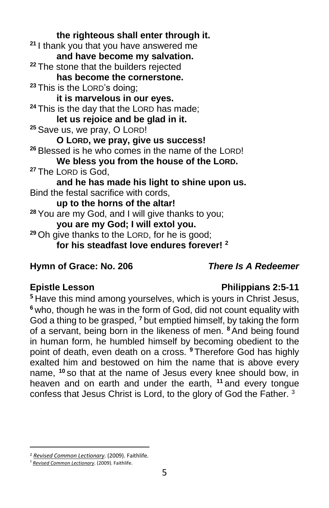**the righteous shall enter through it. <sup>21</sup>** I thank you that you have answered me **and have become my salvation. <sup>22</sup>** The stone that the builders rejected **has become the cornerstone. <sup>23</sup>** This is the LORD's doing; **it is marvelous in our eyes.**  <sup>24</sup> This is the day that the LORD has made; **let us rejoice and be glad in it. <sup>25</sup>** Save us, we pray, O LORD! **O LORD, we pray, give us success! <sup>26</sup>** Blessed is he who comes in the name of the LORD! **We bless you from the house of the LORD. <sup>27</sup>** The LORD is God, **and he has made his light to shine upon us.**  Bind the festal sacrifice with cords, **up to the horns of the altar! <sup>28</sup>** You are my God, and I will give thanks to you; **you are my God; I will extol you. <sup>29</sup>** Oh give thanks to the LORD, for he is good; **for his steadfast love endures forever! <sup>2</sup>**

#### **Hymn of Grace: No. 206** *There Is A Redeemer*

### **Epistle Lesson Philippians 2:5-11**

**<sup>5</sup>** Have this mind among yourselves, which is yours in Christ Jesus, **<sup>6</sup>** who, though he was in the form of God, did not count equality with God a thing to be grasped, **<sup>7</sup>** but emptied himself, by taking the form of a servant, being born in the likeness of men. **<sup>8</sup>**And being found in human form, he humbled himself by becoming obedient to the point of death, even death on a cross. **<sup>9</sup>** Therefore God has highly exalted him and bestowed on him the name that is above every name, **<sup>10</sup>** so that at the name of Jesus every knee should bow, in heaven and on earth and under the earth, **<sup>11</sup>** and every tongue confess that Jesus Christ is Lord, to the glory of God the Father. <sup>3</sup>

<sup>2</sup> *[Revised Common Lectionary](https://ref.ly/logosres/rcl?ref=YearMonthDay.4-10-2022&off=261&ctx=salm+118:1%E2%80%932%2c+19%E2%80%9329%0a~+%0a+%0aGOSPEL%0aLuke+19:2)*. (2009). Faithlife.

<sup>3</sup> *[Revised Common Lectionary](https://ref.ly/logosres/rcl?ref=YearMonthDay.4-10-2022&off=684&ctx=%0aPhilippians+2:5%E2%80%9311%0a~+%0aGOSPEL%0aOption+A%0aLu)*. (2009). Faithlife.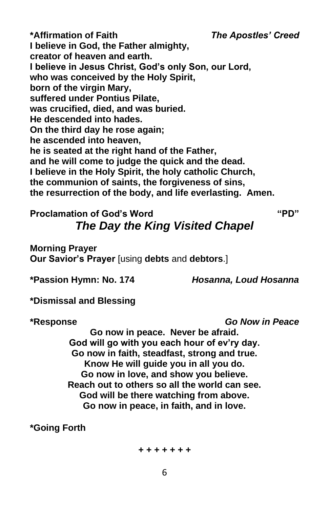**\*Affirmation of Faith** *The Apostles' Creed* **I believe in God, the Father almighty, creator of heaven and earth. I believe in Jesus Christ, God's only Son, our Lord, who was conceived by the Holy Spirit, born of the virgin Mary, suffered under Pontius Pilate, was crucified, died, and was buried. He descended into hades. On the third day he rose again; he ascended into heaven, he is seated at the right hand of the Father, and he will come to judge the quick and the dead. I believe in the Holy Spirit, the holy catholic Church, the communion of saints, the forgiveness of sins, the resurrection of the body, and life everlasting. Amen.**

# **Proclamation of God's Word "PD"** *The Day the King Visited Chapel*

**Morning Prayer Our Savior's Prayer** [using **debts** and **debtors**.]

**\*Passion Hymn: No. 174** *Hosanna, Loud Hosanna*

**\*Dismissal and Blessing**

**\*Response** *Go Now in Peace*

**Go now in peace. Never be afraid. God will go with you each hour of ev'ry day. Go now in faith, steadfast, strong and true. Know He will guide you in all you do. Go now in love, and show you believe. Reach out to others so all the world can see. God will be there watching from above. Go now in peace, in faith, and in love.**

**\*Going Forth**

*+ + + + + + +*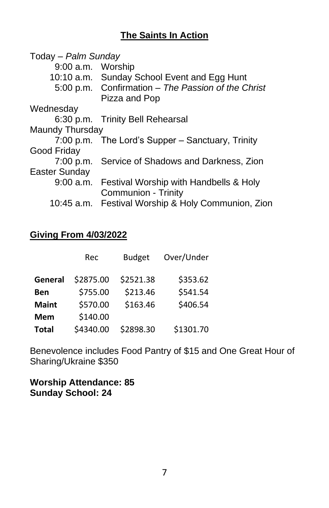### **The Saints In Action**

| Today - Palm Sunday |                                                                     |  |  |  |
|---------------------|---------------------------------------------------------------------|--|--|--|
| 9:00 a.m. Worship   |                                                                     |  |  |  |
|                     | 10:10 a.m. Sunday School Event and Egg Hunt                         |  |  |  |
|                     | 5:00 p.m. Confirmation - The Passion of the Christ<br>Pizza and Pop |  |  |  |
| Wednesday           |                                                                     |  |  |  |
|                     | 6:30 p.m. Trinity Bell Rehearsal                                    |  |  |  |
| Maundy Thursday     |                                                                     |  |  |  |
|                     | 7:00 p.m. The Lord's Supper – Sanctuary, Trinity                    |  |  |  |
| Good Friday         |                                                                     |  |  |  |
|                     | 7:00 p.m. Service of Shadows and Darkness, Zion                     |  |  |  |
| Easter Sunday       |                                                                     |  |  |  |
| $9:00$ a.m.         | Festival Worship with Handbells & Holy                              |  |  |  |
|                     | <b>Communion - Trinity</b>                                          |  |  |  |
| 10:45 a.m.          | Festival Worship & Holy Communion, Zion                             |  |  |  |

#### **Giving From 4/03/2022**

|              | Rec       | <b>Budget</b> | Over/Under |
|--------------|-----------|---------------|------------|
| General      | \$2875.00 | \$2521.38     | \$353.62   |
| <b>Ben</b>   | \$755.00  | \$213.46      | \$541.54   |
| <b>Maint</b> | \$570.00  | \$163.46      | \$406.54   |
| <b>Mem</b>   | \$140.00  |               |            |
| <b>Total</b> | \$4340.00 | \$2898.30     | \$1301.70  |

Benevolence includes Food Pantry of \$15 and One Great Hour of Sharing/Ukraine \$350

**Worship Attendance: 85 Sunday School: 24**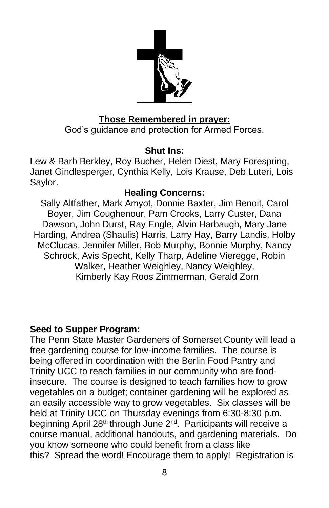

### **Those Remembered in prayer:**

God's guidance and protection for Armed Forces.

#### **Shut Ins:**

Lew & Barb Berkley, Roy Bucher, Helen Diest, Mary Forespring, Janet Gindlesperger, Cynthia Kelly, Lois Krause, Deb Luteri, Lois Saylor.

#### **Healing Concerns:**

Sally Altfather, Mark Amyot, Donnie Baxter, Jim Benoit, Carol Boyer, Jim Coughenour, Pam Crooks, Larry Custer, Dana Dawson, John Durst, Ray Engle, Alvin Harbaugh, Mary Jane Harding, Andrea (Shaulis) Harris, Larry Hay, Barry Landis, Holby McClucas, Jennifer Miller, Bob Murphy, Bonnie Murphy, Nancy Schrock, Avis Specht, Kelly Tharp, Adeline Vieregge, Robin Walker, Heather Weighley, Nancy Weighley, Kimberly Kay Roos Zimmerman, Gerald Zorn

#### **Seed to Supper Program:**

The Penn State Master Gardeners of Somerset County will lead a free gardening course for low-income families. The course is being offered in coordination with the Berlin Food Pantry and Trinity UCC to reach families in our community who are foodinsecure. The course is designed to teach families how to grow vegetables on a budget; container gardening will be explored as an easily accessible way to grow vegetables. Six classes will be held at Trinity UCC on Thursday evenings from 6:30-8:30 p.m. beginning April 28<sup>th</sup> through June 2<sup>nd</sup>. Participants will receive a course manual, additional handouts, and gardening materials. Do you know someone who could benefit from a class like this? Spread the word! Encourage them to apply! Registration is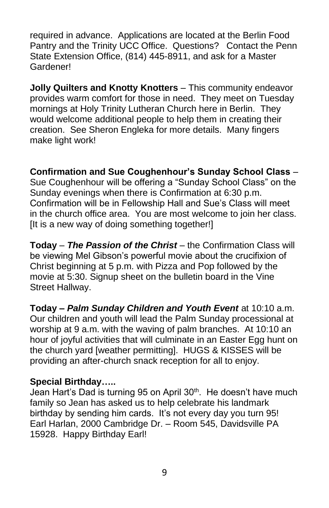required in advance. Applications are located at the Berlin Food Pantry and the Trinity UCC Office. Questions? Contact the Penn State Extension Office, (814) 445-8911, and ask for a Master Gardener!

**Jolly Quilters and Knotty Knotters** – This community endeavor provides warm comfort for those in need. They meet on Tuesday mornings at Holy Trinity Lutheran Church here in Berlin. They would welcome additional people to help them in creating their creation. See Sheron Engleka for more details. Many fingers make light work!

**Confirmation and Sue Coughenhour's Sunday School Class** – Sue Coughenhour will be offering a "Sunday School Class" on the Sunday evenings when there is Confirmation at 6:30 p.m. Confirmation will be in Fellowship Hall and Sue's Class will meet in the church office area. You are most welcome to join her class. [It is a new way of doing something together!]

**Today** – *The Passion of the Christ* – the Confirmation Class will be viewing Mel Gibson's powerful movie about the crucifixion of Christ beginning at 5 p.m. with Pizza and Pop followed by the movie at 5:30. Signup sheet on the bulletin board in the Vine Street Hallway.

**Today –** *Palm Sunday Children and Youth Event* at 10:10 a.m. Our children and youth will lead the Palm Sunday processional at worship at 9 a.m. with the waving of palm branches. At 10:10 an hour of joyful activities that will culminate in an Easter Egg hunt on the church yard [weather permitting]. HUGS & KISSES will be providing an after-church snack reception for all to enjoy.

#### **Special Birthday…..**

Jean Hart's Dad is turning 95 on April 30<sup>th</sup>. He doesn't have much family so Jean has asked us to help celebrate his landmark birthday by sending him cards. It's not every day you turn 95! Earl Harlan, 2000 Cambridge Dr. – Room 545, Davidsville PA 15928. Happy Birthday Earl!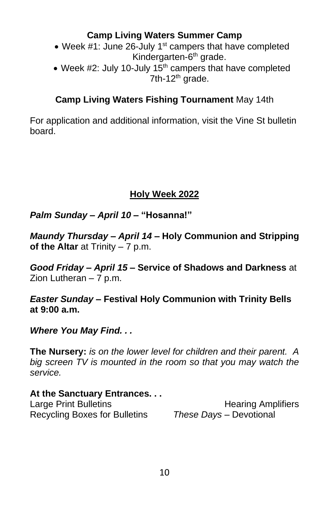### **Camp Living Waters Summer Camp**

- Week  $#1$ : June 26-July 1<sup>st</sup> campers that have completed Kindergarten-6<sup>th</sup> grade.
- Week #2: July 10-July  $15<sup>th</sup>$  campers that have completed 7th-12<sup>th</sup> grade.

### **Camp Living Waters Fishing Tournament** May 14th

For application and additional information, visit the Vine St bulletin board.

### **Holy Week 2022**

*Palm Sunday – April 10* **– "Hosanna!"**

*Maundy Thursday – April 14 –* **Holy Communion and Stripping of the Altar** at Trinity – 7 p.m.

*Good Friday – April 15 –* **Service of Shadows and Darkness** at Zion Lutheran – 7 p.m.

*Easter Sunday –* **Festival Holy Communion with Trinity Bells at 9:00 a.m.**

#### *Where You May Find. . .*

**The Nursery:** *is on the lower level for children and their parent. A big screen TV is mounted in the room so that you may watch the service.*

# **At the Sanctuary Entrances. . .** Large Print Bulletins **Example 20** Hearing Amplifiers

Recycling Boxes for Bulletins *These Days –* Devotional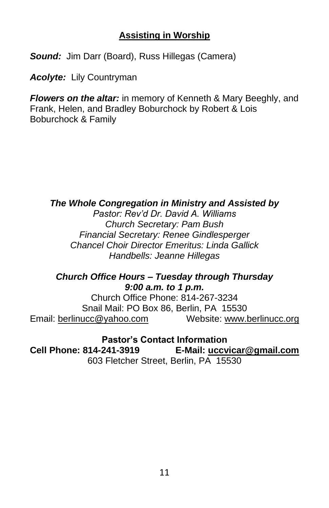### **Assisting in Worship**

*Sound:* Jim Darr (Board), Russ Hillegas (Camera)

*Acolyte:* Lily Countryman

*Flowers on the altar:* in memory of Kenneth & Mary Beeghly, and Frank, Helen, and Bradley Boburchock by Robert & Lois Boburchock & Family

#### *The Whole Congregation in Ministry and Assisted by*

*Pastor: Rev'd Dr. David A. Williams Church Secretary: Pam Bush Financial Secretary: Renee Gindlesperger Chancel Choir Director Emeritus: Linda Gallick Handbells: Jeanne Hillegas*

#### *Church Office Hours – Tuesday through Thursday 9:00 a.m. to 1 p.m.*

Church Office Phone: 814-267-3234 Snail Mail: PO Box 86, Berlin, PA 15530 Email: [berlinucc@yahoo.com](mailto:berlinucc@yahoo.com) Website: [www.berlinucc.org](http://www.berlinucc.org/)

**Pastor's Contact Information**

**Cell Phone: 814-241-3919 E-Mail: [uccvicar@gmail.com](mailto:uccvicar@gmail.com)** 603 Fletcher Street, Berlin, PA 15530